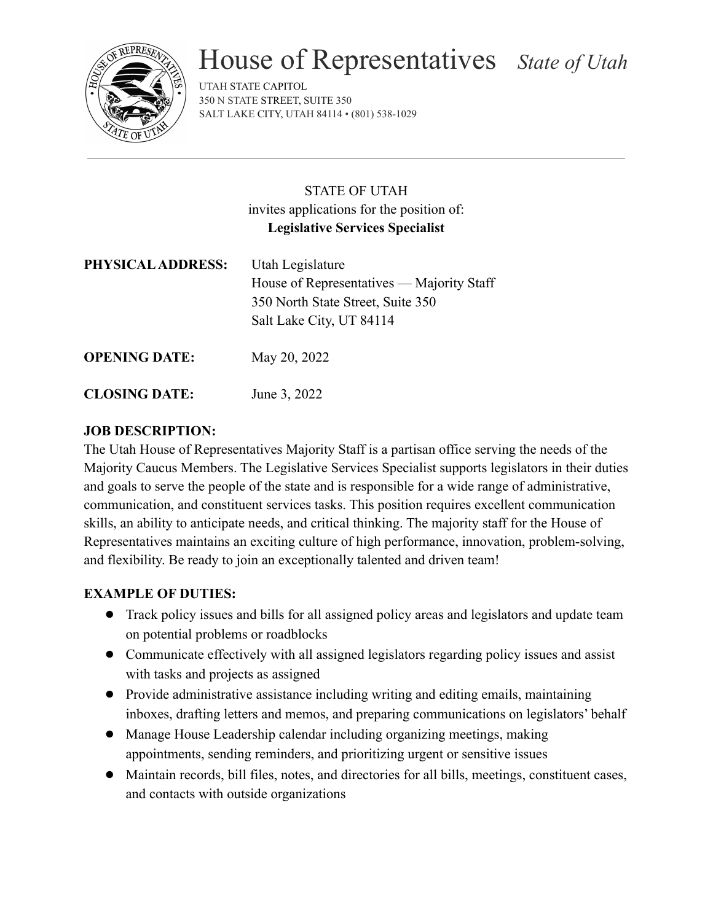

# House of Representatives *State of Utah*

UTAH STATE CAPITOL 350 N STATE STREET, SUITE 350 SALT LAKE CITY, UTAH 84114 • (801) 538-1029

# STATE OF UTAH invites applications for the position of: **Legislative Services Specialist**

| PHYSICAL ADDRESS:    | Utah Legislature<br>House of Representatives — Majority Staff<br>350 North State Street, Suite 350<br>Salt Lake City, UT 84114 |
|----------------------|--------------------------------------------------------------------------------------------------------------------------------|
| <b>OPENING DATE:</b> | May 20, 2022                                                                                                                   |

**CLOSING DATE:** June 3, 2022

## **JOB DESCRIPTION:**

The Utah House of Representatives Majority Staff is a partisan office serving the needs of the Majority Caucus Members. The Legislative Services Specialist supports legislators in their duties and goals to serve the people of the state and is responsible for a wide range of administrative, communication, and constituent services tasks. This position requires excellent communication skills, an ability to anticipate needs, and critical thinking. The majority staff for the House of Representatives maintains an exciting culture of high performance, innovation, problem-solving, and flexibility. Be ready to join an exceptionally talented and driven team!

## **EXAMPLE OF DUTIES:**

- Track policy issues and bills for all assigned policy areas and legislators and update team on potential problems or roadblocks
- Communicate effectively with all assigned legislators regarding policy issues and assist with tasks and projects as assigned
- Provide administrative assistance including writing and editing emails, maintaining inboxes, drafting letters and memos, and preparing communications on legislators' behalf
- Manage House Leadership calendar including organizing meetings, making appointments, sending reminders, and prioritizing urgent or sensitive issues
- Maintain records, bill files, notes, and directories for all bills, meetings, constituent cases, and contacts with outside organizations